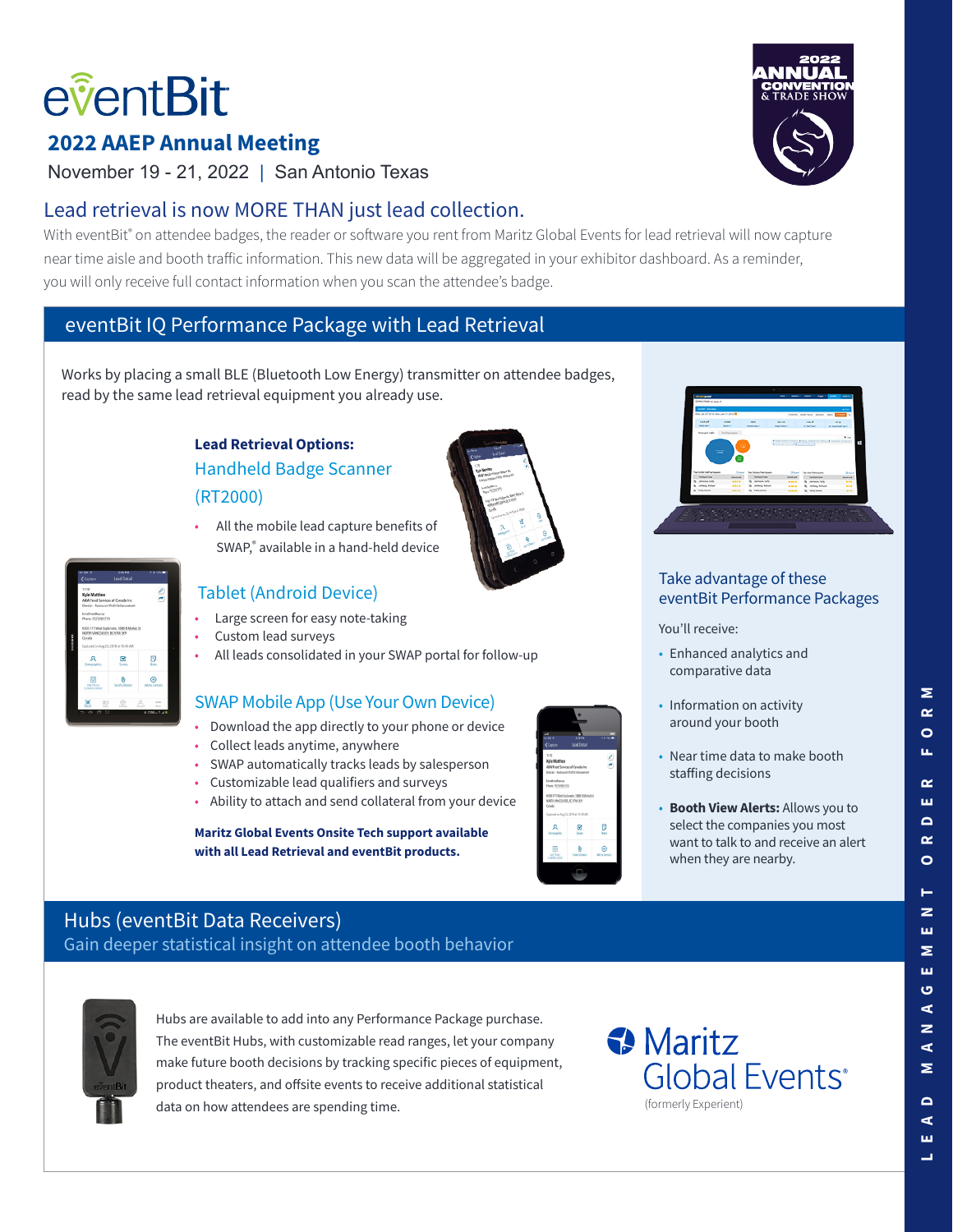# eventBit

# **2022 AAEP Annual Meeting**

November 19 - 21, 2022 | San Antonio Texas

# Lead retrieval is now MORE THAN just lead collection.

With eventBit® on attendee badges, the reader or software you rent from Maritz Global Events for lead retrieval will now capture near time aisle and booth traffic information. This new data will be aggregated in your exhibitor dashboard. As a reminder, you will only receive full contact information when you scan the attendee's badge.

# eventBit IQ Performance Package with Lead Retrieval

Works by placing a small BLE (Bluetooth Low Energy) transmitter on attendee badges, read by the same lead retrieval equipment you already use.

### **Lead Retrieval Options:**  Handheld Badge Scanner (RT2000)

• All the mobile lead capture benefits of SWAP,® available in a hand-held device





#### Tablet (Android Device)

- Large screen for easy note-taking
- Custom lead surveys
- All leads consolidated in your SWAP portal for follow-up

#### SWAP Mobile App (Use Your Own Device)

- Download the app directly to your phone or device
- Collect leads anytime, anywhere
- SWAP automatically tracks leads by salesperson
- Customizable lead qualifiers and surveys
- Ability to attach and send collateral from your device

#### **Maritz Global Events Onsite Tech support available with all Lead Retrieval and eventBit products.**





#### Take advantage of these eventBit Performance Packages

You'll receive:

- Enhanced analytics and comparative data
- Information on activity around your booth
- Near time data to make booth staffing decisions
- **Booth View Alerts:** Allows you to select the companies you most want to talk to and receive an alert when they are nearby.

# Hubs (eventBit Data Receivers)

Gain deeper statistical insight on attendee booth behavior



Hubs are available to add into any Performance Package purchase. The eventBit Hubs, with customizable read ranges, let your company make future booth decisions by tracking specific pieces of equipment, product theaters, and offsite events to receive additional statistical data on how attendees are spending time.



ш

Σ